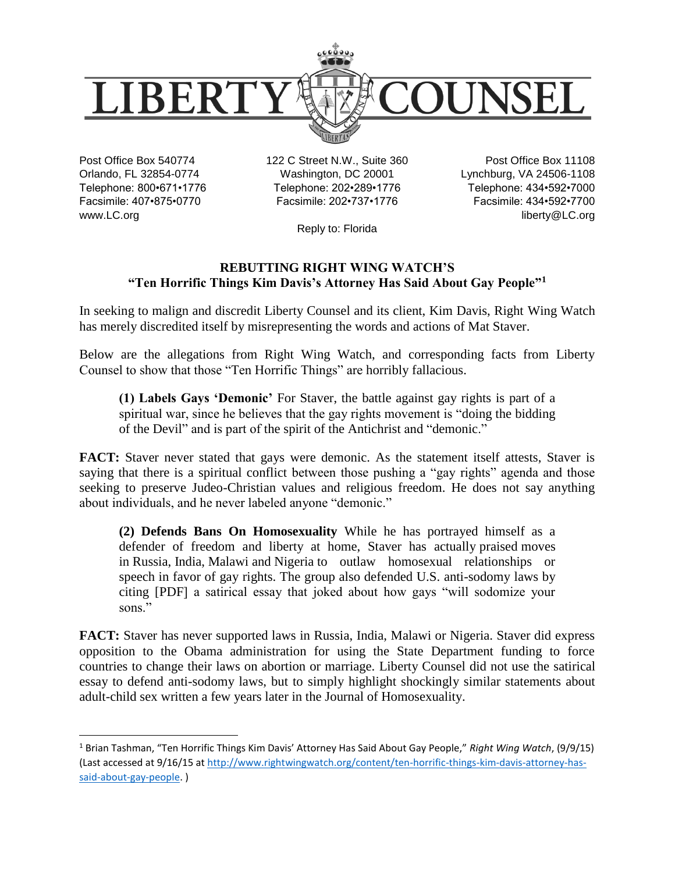

Post Office Box 540774 Orlando, FL 32854-0774 Telephone: 800•671•1776 Facsimile: 407•875•0770 www.LC.org

 $\overline{\phantom{a}}$ 

122 C Street N.W., Suite 360 Washington, DC 20001 Telephone: 202•289•1776 Facsimile: 202•737•1776

Post Office Box 11108 Lynchburg, VA 24506-1108 Telephone: 434•592•7000 Facsimile: 434•592•7700 liberty@LC.org

Reply to: Florida

## **REBUTTING RIGHT WING WATCH'S "Ten Horrific Things Kim Davis's Attorney Has Said About Gay People"<sup>1</sup>**

In seeking to malign and discredit Liberty Counsel and its client, Kim Davis, Right Wing Watch has merely discredited itself by misrepresenting the words and actions of Mat Staver.

Below are the allegations from Right Wing Watch, and corresponding facts from Liberty Counsel to show that those "Ten Horrific Things" are horribly fallacious.

**(1) Labels Gays 'Demonic'** For Staver, the battle against gay rights is part of a spiritual war, since he believes that the gay rights movement is ["doing the bidding](http://www.goodasyou.org/good_as_you/2014/06/liberty-counsel-head-lgbt-advocates-are-doing-bidding-of-the-devil.html)  [of the Devil"](http://www.goodasyou.org/good_as_you/2014/06/liberty-counsel-head-lgbt-advocates-are-doing-bidding-of-the-devil.html) and is part of [the spirit of the Antichrist](http://www.rightwingwatch.org/content/garlow-and-staver-gay-marriage-fight-against-antichrist-spirit) and ["demonic.](http://www.rightwingwatch.org/content/mat-staver-demonic-gay-rights-advocates-are-acting-terrorists)"

**FACT:** Staver never stated that gays were demonic. As the statement itself attests, Staver is saying that there is a spiritual conflict between those pushing a "gay rights" agenda and those seeking to preserve Judeo-Christian values and religious freedom. He does not say anything about individuals, and he never labeled anyone "demonic."

**(2) Defends Bans On Homosexuality** While he has portrayed himself as a defender of freedom and liberty at home, Staver has actually [praised](http://www.rightwingwatch.org/content/barber-staver-want-see-russian-anti-gay-laws-right-here-united-states) moves in [Russia,](http://www.rightwingwatch.org/content/staver-fears-everyone-will-go-gay-under-marriage-equality) [India,](http://www.rightwingwatch.org/content/staver-fears-everyone-will-go-gay-under-marriage-equality) [Malawi](http://www.rightwingwatch.org/content/staver-under-obama-us-one-worlds-immoral-leaders) and [Nigeria](http://www.rightwingwatch.org/content/barber-staver-want-see-russian-anti-gay-laws-right-here-united-states) to outlaw homosexual relationships or speech in favor of gay rights. The group also defended U.S. anti-sodomy laws by citing [\[PDF\]](http://findlawimages.com/efile/supreme/briefs/02-102/02-102.mer.ami.lc.pdf) a satirical essay that joked about how gays "will sodomize your sons."

**FACT:** Staver has never supported laws in Russia, India, Malawi or Nigeria. Staver did express opposition to the Obama administration for using the State Department funding to force countries to change their laws on abortion or marriage. Liberty Counsel did not use the satirical essay to defend anti-sodomy laws, but to simply highlight shockingly similar statements about adult-child sex written a few years later in the Journal of Homosexuality.

<sup>1</sup> Brian Tashman, "Ten Horrific Things Kim Davis' Attorney Has Said About Gay People," *Right Wing Watch*, (9/9/15) (Last accessed at 9/16/15 at [http://www.rightwingwatch.org/content/ten-horrific-things-kim-davis-attorney-has](http://www.rightwingwatch.org/content/ten-horrific-things-kim-davis-attorney-has-said-about-gay-people)[said-about-gay-people.](http://www.rightwingwatch.org/content/ten-horrific-things-kim-davis-attorney-has-said-about-gay-people) )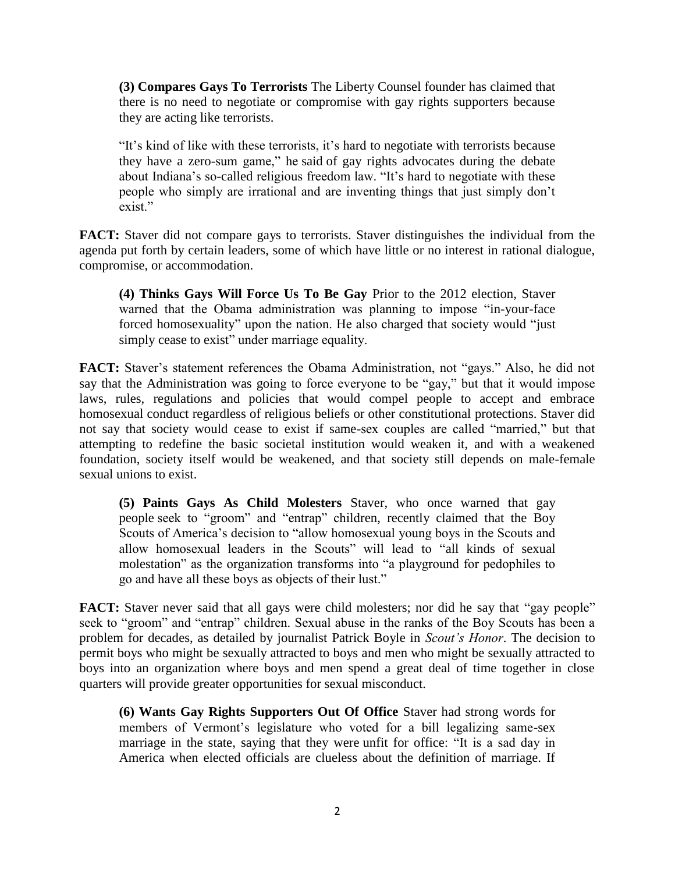**(3) Compares Gays To Terrorists** The Liberty Counsel founder has claimed that there is no need to negotiate or compromise with gay rights supporters because they are [acting like terrorists.](http://www.rightwingwatch.org/content/mat-staver-gays-just-hamas-terrorists)

"It's kind of like with these terrorists, it's hard to negotiate with terrorists because they have a zero-sum game," he [said](http://www.rightwingwatch.org/content/mat-staver-demonic-gay-rights-advocates-are-acting-terrorists) of gay rights advocates during the debate about Indiana's so-called religious freedom law. "It's hard to negotiate with these people who simply are irrational and are inventing things that just simply don't exist."

**FACT:** Staver did not compare gays to terrorists. Staver distinguishes the individual from the agenda put forth by certain leaders, some of which have little or no interest in rational dialogue, compromise, or accommodation.

**(4) Thinks Gays Will Force Us To Be Gay** Prior to the 2012 election, Staver warned that the Obama administration was planning to impose ["in-your-face](http://www.rightwingwatch.org/content/mat-staver-accuses-obama-backing-forced-abortion-funding-and-forced-homosexuality)  [forced homosexuality"](http://www.rightwingwatch.org/content/mat-staver-accuses-obama-backing-forced-abortion-funding-and-forced-homosexuality) upon the nation. He also charged that society would ["just](http://www.rightwingwatch.org/content/staver-fears-everyone-will-go-gay-under-marriage-equality)  [simply cease to exist"](http://www.rightwingwatch.org/content/staver-fears-everyone-will-go-gay-under-marriage-equality) under marriage equality.

**FACT:** Staver's statement references the Obama Administration, not "gays." Also, he did not say that the Administration was going to force everyone to be "gay," but that it would impose laws, rules, regulations and policies that would compel people to accept and embrace homosexual conduct regardless of religious beliefs or other constitutional protections. Staver did not say that society would cease to exist if same-sex couples are called "married," but that attempting to redefine the basic societal institution would weaken it, and with a weakened foundation, society itself would be weakened, and that society still depends on male-female sexual unions to exist.

**(5) Paints Gays As Child Molesters** Staver, who once warned that gay people [seek to "groom" and "entrap" children,](http://www.rightwingwatch.org/content/staver-reparative-therapy-ban-lets-gays-entrap-groom-children) recently claimed that the Boy Scouts of America's decision to "allow homosexual young boys in the Scouts and allow homosexual leaders in the Scouts" will lead to ["all kinds of sexual](http://www.rightwingwatch.org/content/staver-boy-scouts-will-now-become-playground-pedophiles)  [molestation"](http://www.rightwingwatch.org/content/staver-boy-scouts-will-now-become-playground-pedophiles) as the organization transforms into "a playground for pedophiles to go and have all these boys as objects of their lust."

**FACT:** Staver never said that all gays were child molesters; nor did he say that "gay people" seek to "groom" and "entrap" children. Sexual abuse in the ranks of the Boy Scouts has been a problem for decades, as detailed by journalist Patrick Boyle in *Scout's Honor*. The decision to permit boys who might be sexually attracted to boys and men who might be sexually attracted to boys into an organization where boys and men spend a great deal of time together in close quarters will provide greater opportunities for sexual misconduct.

**(6) Wants Gay Rights Supporters Out Of Office** Staver had strong words for members of Vermont's legislature who voted for a bill legalizing same-sex marriage in the state, saying that they were [unfit for office:](http://www.lc.org/index.cfm?PID=14100&PRID=797) "It is a sad day in America when elected officials are clueless about the definition of marriage. If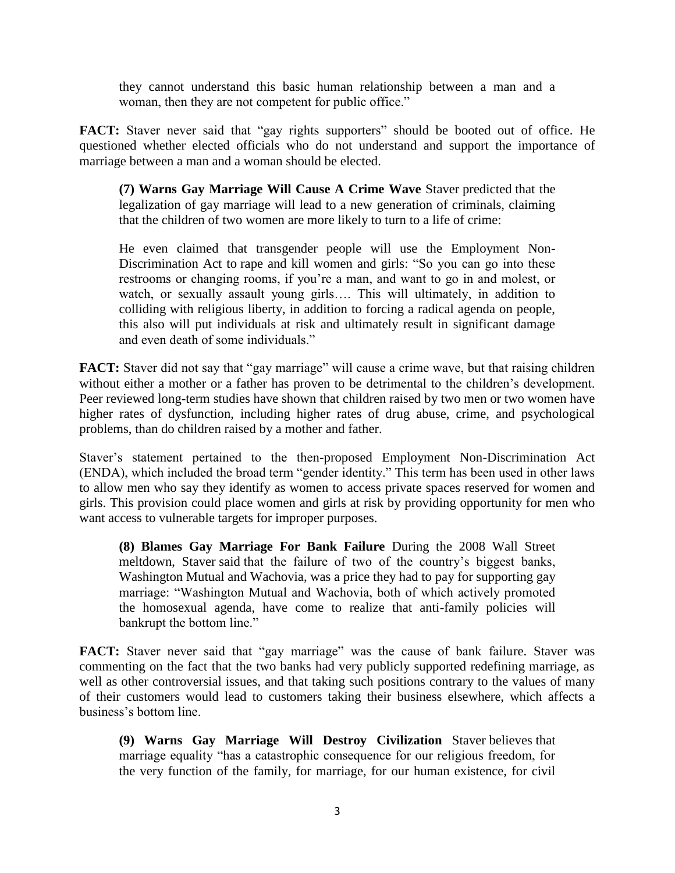they cannot understand this basic human relationship between a man and a woman, then they are not competent for public office."

**FACT:** Staver never said that "gay rights supporters" should be booted out of office. He questioned whether elected officials who do not understand and support the importance of marriage between a man and a woman should be elected.

**(7) Warns Gay Marriage Will Cause A Crime Wave** Staver [predicted](http://www.rightwingwatch.org/content/cpac-marriage-equality-will-create-generation-violent-criminals) that the legalization of gay marriage will lead to a new generation of criminals, claiming that the children of two women are more likely to turn to a life of crime:

He even claimed that transgender people will use the Employment Non-Discrimination Act to [rape and kill women and girls:](http://www.rightwingwatch.org/content/mat-staver-enda-result-death-individuals) "So you can go into these restrooms or changing rooms, if you're a man, and want to go in and molest, or watch, or sexually assault young girls.... This will ultimately, in addition to colliding with religious liberty, in addition to forcing a radical agenda on people, this also will put individuals at risk and ultimately result in significant damage and even death of some individuals."

**FACT:** Staver did not say that "gay marriage" will cause a crime wave, but that raising children without either a mother or a father has proven to be detrimental to the children's development. Peer reviewed long-term studies have shown that children raised by two men or two women have higher rates of dysfunction, including higher rates of drug abuse, crime, and psychological problems, than do children raised by a mother and father.

Staver's statement pertained to the then-proposed Employment Non-Discrimination Act (ENDA), which included the broad term "gender identity." This term has been used in other laws to allow men who say they identify as women to access private spaces reserved for women and girls. This provision could place women and girls at risk by providing opportunity for men who want access to vulnerable targets for improper purposes.

**(8) Blames Gay Marriage For Bank Failure** During the 2008 Wall Street meltdown, Staver [said](http://www.rightwingwatch.org/content/right-wing-solution-our-economic-crisis) that the failure of two of the country's biggest banks, Washington Mutual and Wachovia, was a price they had to pay for supporting gay marriage: "Washington Mutual and Wachovia, both of which actively promoted the homosexual agenda, have come to realize that anti-family policies will bankrupt the bottom line."

FACT: Staver never said that "gay marriage" was the cause of bank failure. Staver was commenting on the fact that the two banks had very publicly supported redefining marriage, as well as other controversial issues, and that taking such positions contrary to the values of many of their customers would lead to customers taking their business elsewhere, which affects a business's bottom line.

**(9) Warns Gay Marriage Will Destroy Civilization** Staver [believes](http://www.rightwingwatch.org/content/staver-scotus-ruling-marriage-equality-will-have-catastrophic-consequence-human-existence) that marriage equality "has a catastrophic consequence for our religious freedom, for the very function of the family, for marriage, for our human existence, for civil